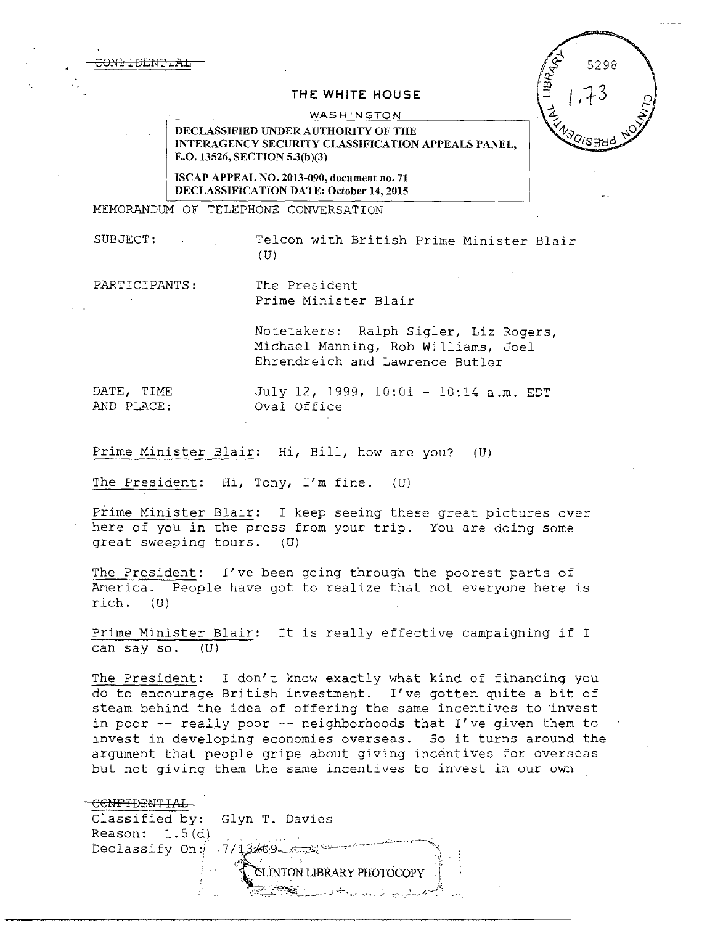<del>CONFIDENT</del>

## 5298  $1.73$

## **THE WHITE HOUSE**

WASHINGTON

DECLASSIFIED UNDER AUTHORITY OF THE INTERAGENCY SECURITY CLASSIFICATION APPEALS PANEL, E.O. 13526, SECTION 5.3(b)(3)

ISCAP APPEAL NO. 2013-090, document no. 71 DECLASSIFICATION DATE: October 14, 2015

MEMORANDUM OF TELEPHONE CONVERSATION

SUBJECT: Telcon with British Prime Minister Blair  $(U)$ 

PARTICIPANTS: The President

Prime Minister Blair

Notetakers: Ralph Sigler, Liz Rogers, Michael Manning, Rob Williams, Joel Ehrendreich and Lawrence Butler

DATE, TIME July 12, 1999, 10:01 - 10:14 a.m. EDT Oval Office

Prime Minister Blair: Hi, Bill, how are you? (U)

The President: Hi, Tony, I'm fine. (U)

Prime Minister Blair: I keep seeing these great pictures over here of you in the press from your trip. You are doing some great sweeping tours. (U)

The President: I've been going through the poorest parts of America. People have got to realize that not everyone here is rich. (U)

Prime Minister Blair: It is really effective campaigning if I can say so. (U)

The President: I don't know exactly what kind of financing you do to encourage British investment. I've gotten quite a bit of steam behind the idea of offering the same incentives to invest in poor -- really poor -- neighborhoods that I've given them to invest in developing economies overseas. So it turns around the argument that people gripe about giving incentives for overseas but not giving them the same incentives to invest in our own

CONFIDENTIAL Classified by: Glyn T. Davies Reason:  $1.5(d)$ Declassify On: $\frac{7}{13}$ .09 . ČLINTON LIBRARY PHOTOCOPY ,, ~~~-;-:~~~:-:..:..~--~.>- ~~ "' .-..........\_*:,\_* -;;·· ...-~ -·¥\_,.,-~-~':.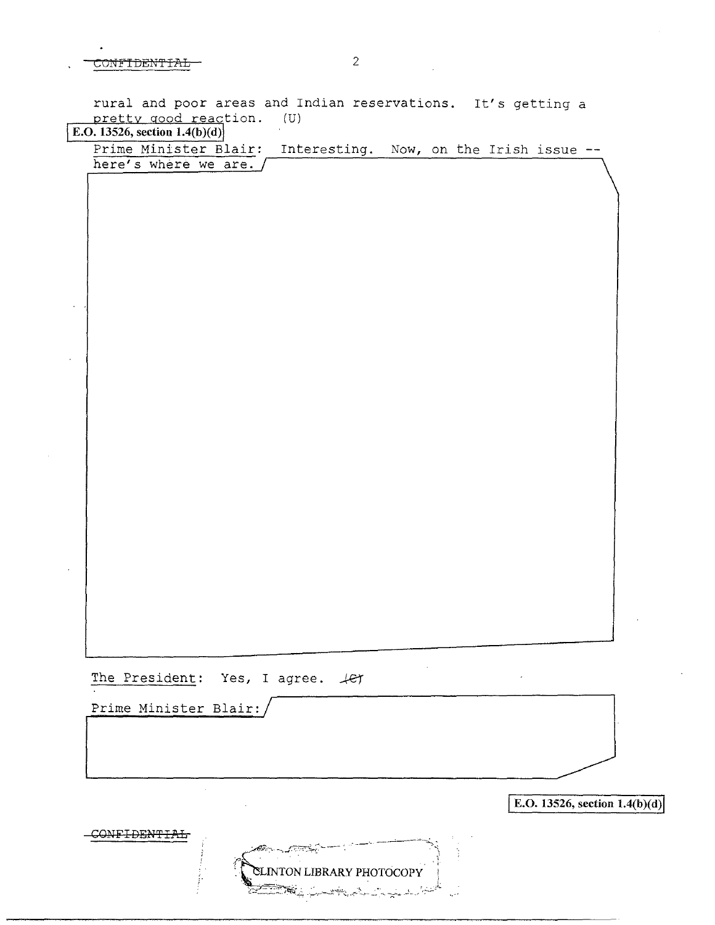$\text{CONF}$ TDENTTAL  $\text{-}$  2

rural and poor areas and Indian reservations. It's getting a pretty good reaction. (U) E.O. **13526, section l.4(b)(d)** 

Prime Minister Blair: Interesting. Now, on the Irish issue -here's where we are. /

The President: Yes, I agree.  $\mathcal{L}$ 

Prime Minister Blair:

 $\bar{z}$ 

 $\mathcal{F}_{\text{tot}}$ 

**E.O. 13526, section 1.4(b)(d)**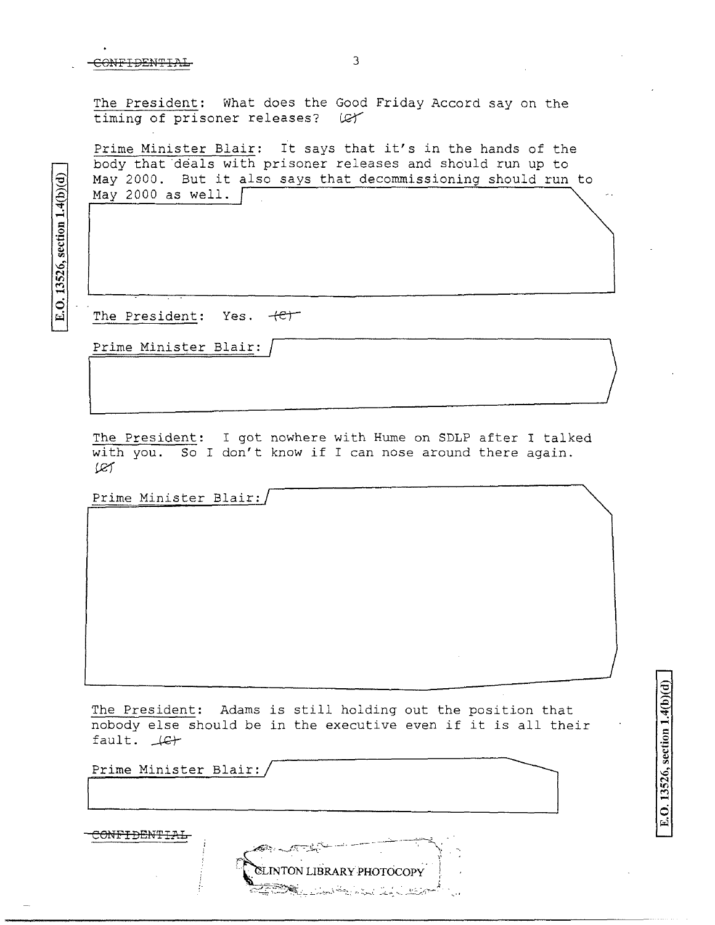## CONFIDENTIAL

The President: What does the Good Friday Accord say on the timing of prisoner releases? (C)

Prime Minister Blair: It says that it's in the hands of the body that deals with prisoner releases and should run up to May 2000. But it also says that decommissioning should run to May 2000 as well.  $\int$ 

E.O. 13526, section 1.4(b)(d)

The President: Yes. +et

Prime Minister Blair:

The President: I got nowhere with Hume on SDLP after I talked with you. So I don't know if I can nose around there again. œ

Prime Minister Blair:/

The President: Adams is still holding out the position that nobody else should be in the executive even if it is all their fault. Let

Prime Minister Blair:

<del>CONFIDENTIA</del>

E.O. 13526, section 1.4(b)(d)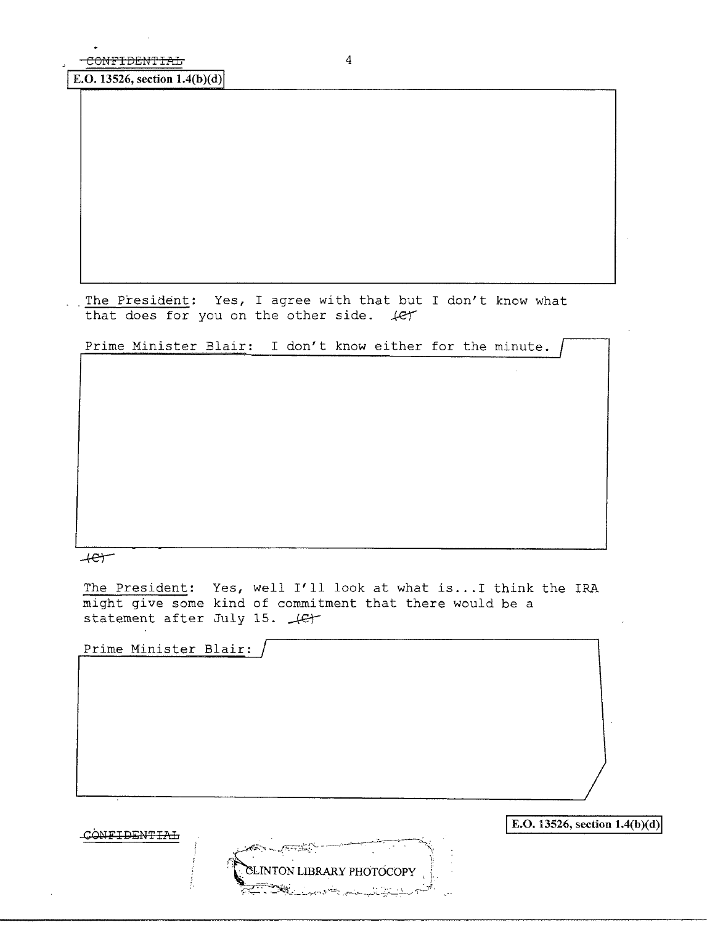$E.D. 13526, section 1.4(b)(d)$ 

. The President: Yes, I agree with that but I don't know what that does for you on the other side.  $\text{4er}$ 

Prime Minister Blair: I don't know either for the minute.

 $+e$ 

The President: Yes, well I'll look at what is... I think the IRA might give some kind of commitment that there would be a statement after July 15.  $\sqrt{C}$ 

Prime Minister Blair:

CONFIDENTIAL

 $\rm SLINTON$   $\rm LIBRARY$   $\rm PHOTOCOPY$ 

**E.O. 13526, section 1.4(b)(d)**